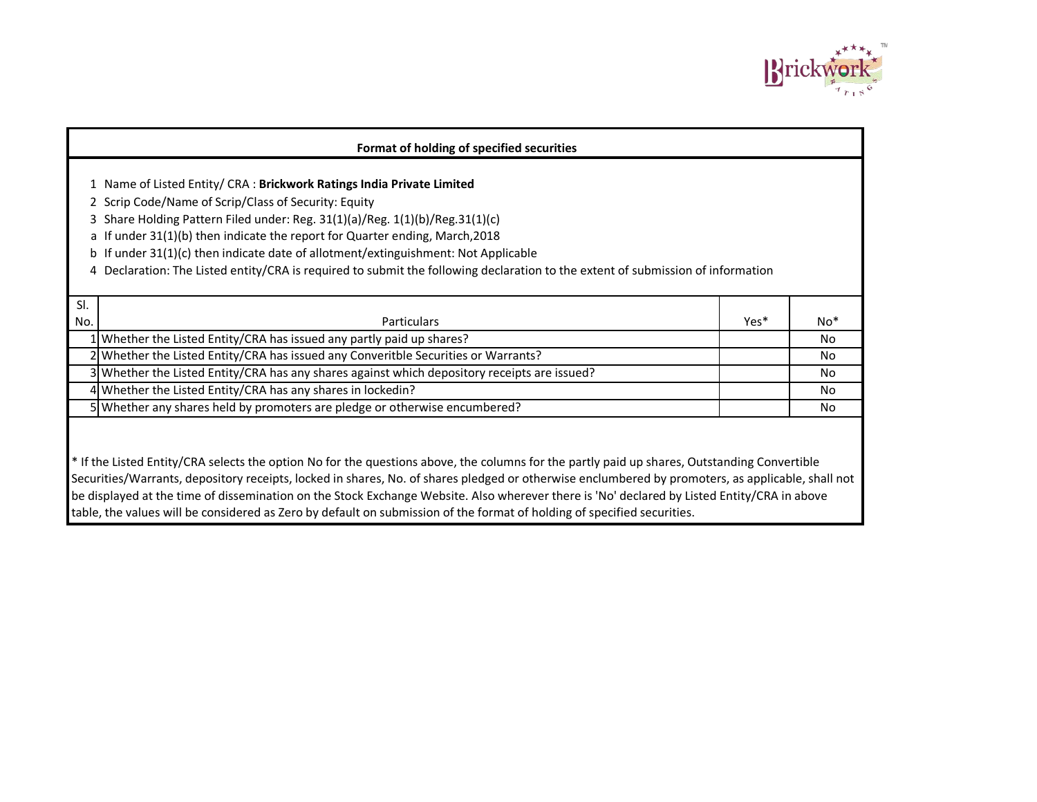

|     | Format of holding of specified securities                                                                                                                                                                                                                                                                                                                                                                                                                                                                                                                                   |      |       |
|-----|-----------------------------------------------------------------------------------------------------------------------------------------------------------------------------------------------------------------------------------------------------------------------------------------------------------------------------------------------------------------------------------------------------------------------------------------------------------------------------------------------------------------------------------------------------------------------------|------|-------|
|     | 1 Name of Listed Entity/ CRA : Brickwork Ratings India Private Limited<br>2 Scrip Code/Name of Scrip/Class of Security: Equity<br>3 Share Holding Pattern Filed under: Reg. 31(1)(a)/Reg. 1(1)(b)/Reg.31(1)(c)<br>a If under 31(1)(b) then indicate the report for Quarter ending, March, 2018<br>b If under 31(1)(c) then indicate date of allotment/extinguishment: Not Applicable<br>4 Declaration: The Listed entity/CRA is required to submit the following declaration to the extent of submission of information                                                     |      |       |
| SI. |                                                                                                                                                                                                                                                                                                                                                                                                                                                                                                                                                                             |      |       |
| No. | <b>Particulars</b>                                                                                                                                                                                                                                                                                                                                                                                                                                                                                                                                                          | Yes* | $No*$ |
|     | 1 Whether the Listed Entity/CRA has issued any partly paid up shares?                                                                                                                                                                                                                                                                                                                                                                                                                                                                                                       |      | No    |
|     | 2 Whether the Listed Entity/CRA has issued any Converitble Securities or Warrants?                                                                                                                                                                                                                                                                                                                                                                                                                                                                                          |      | No    |
|     | 3 Whether the Listed Entity/CRA has any shares against which depository receipts are issued?                                                                                                                                                                                                                                                                                                                                                                                                                                                                                |      | No    |
|     | 4 Whether the Listed Entity/CRA has any shares in lockedin?                                                                                                                                                                                                                                                                                                                                                                                                                                                                                                                 |      | No    |
|     | 5 Whether any shares held by promoters are pledge or otherwise encumbered?                                                                                                                                                                                                                                                                                                                                                                                                                                                                                                  |      | No.   |
|     | * If the Listed Entity/CRA selects the option No for the questions above, the columns for the partly paid up shares, Outstanding Convertible<br>Securities/Warrants, depository receipts, locked in shares, No. of shares pledged or otherwise enclumbered by promoters, as applicable, shall not<br>be displayed at the time of dissemination on the Stock Exchange Website. Also wherever there is 'No' declared by Listed Entity/CRA in above<br>table, the values will be considered as Zero by default on submission of the format of holding of specified securities. |      |       |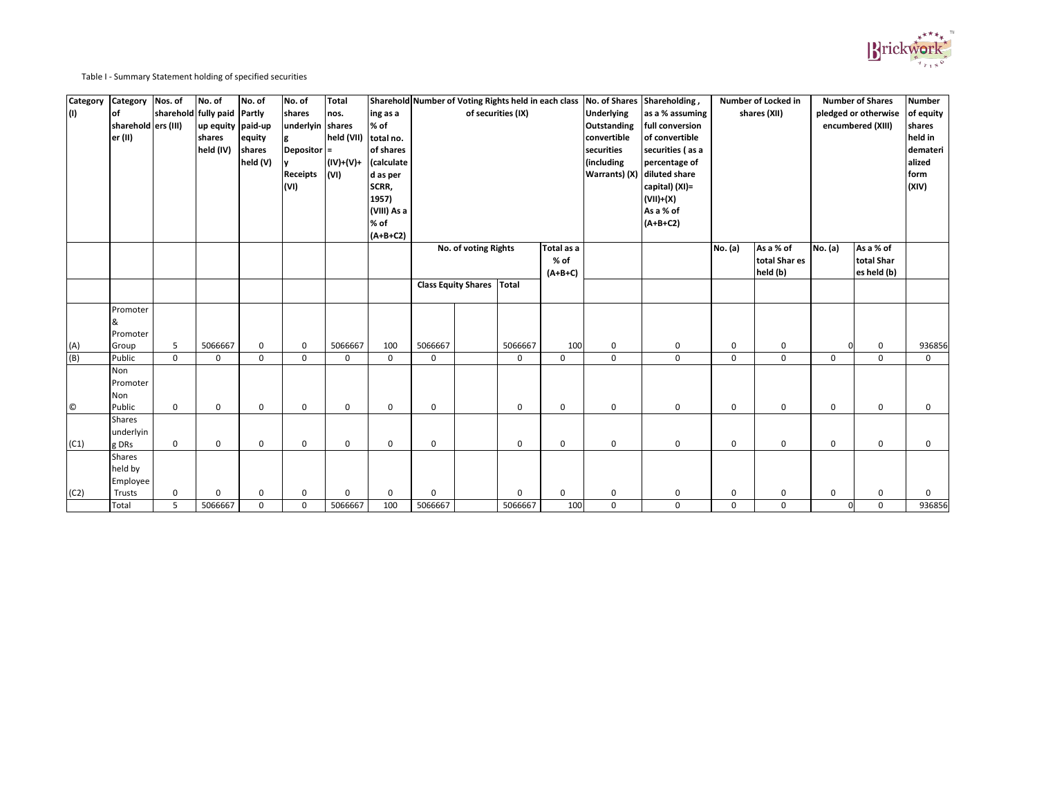Table I - Summary Statement holding of specified securities

| <b>Category</b><br>$\vert$ (I) | Category<br>$ $ of<br>sharehold ers (III)<br>er (II) | Nos. of     | No. of<br>sharehold fully paid Partly<br>up equity paid-up<br>shares<br>held (IV) | No. of<br>equity<br>shares<br>held (V) | No. of<br>shares<br>underlyin shares<br>$\vert$ Depositor $\vert$ =<br><b>Receipts</b><br>(VI) | Total<br>nos.<br>held (VII)<br>$(IV)+(V)+$<br>$\mathsf{V}(\mathsf{V})$ | ing as a<br>% of<br>total no.<br>of shares<br>calculate<br>d as per<br>SCRR,<br>1957)<br>(VIII) As a<br>% of<br>$(A+B+C2)$ |             |                            | of securities (IX) |                                 | <b>Underlying</b><br><b>Outstanding</b><br>convertible<br>securities<br>(including<br><b>Warrants</b> ) (X) | Sharehold Number of Voting Rights held in each class No. of Shares Shareholding,<br>as a % assuming<br>full conversion<br>of convertible<br>securities (as a<br>percentage of<br>diluted share<br>capital) (XI)=<br>$(VII)+(X)$<br>As a % of<br>$(A+B+C2)$ |                  | <b>Number of Locked in</b><br>shares (XII) |                | <b>Number of Shares</b><br>pledged or otherwise<br>encumbered (XIII) | <b>Number</b><br>of equity<br>shares<br>held in<br>demateri<br>alized<br>form<br>(XIV) |
|--------------------------------|------------------------------------------------------|-------------|-----------------------------------------------------------------------------------|----------------------------------------|------------------------------------------------------------------------------------------------|------------------------------------------------------------------------|----------------------------------------------------------------------------------------------------------------------------|-------------|----------------------------|--------------------|---------------------------------|-------------------------------------------------------------------------------------------------------------|------------------------------------------------------------------------------------------------------------------------------------------------------------------------------------------------------------------------------------------------------------|------------------|--------------------------------------------|----------------|----------------------------------------------------------------------|----------------------------------------------------------------------------------------|
|                                |                                                      |             |                                                                                   |                                        |                                                                                                |                                                                        |                                                                                                                            |             | No. of voting Rights       |                    | Total as a<br>% of<br>$(A+B+C)$ |                                                                                                             |                                                                                                                                                                                                                                                            | <b>No.</b> (a)   | As a % of<br>total Shar es<br>held (b)     | <b>No.</b> (a) | As a % of<br>total Shar<br>es held (b)                               |                                                                                        |
|                                |                                                      |             |                                                                                   |                                        |                                                                                                |                                                                        |                                                                                                                            |             | <b>Class Equity Shares</b> | <b>Total</b>       |                                 |                                                                                                             |                                                                                                                                                                                                                                                            |                  |                                            |                |                                                                      |                                                                                        |
| (A)                            | Promoter<br>&<br>Promoter<br>Group                   | 5           | 5066667                                                                           | $\mathbf 0$                            | $\mathbf 0$                                                                                    | 5066667                                                                | 100                                                                                                                        | 5066667     |                            | 5066667            | 100                             | $\mathsf{O}$                                                                                                | $\mathbf 0$                                                                                                                                                                                                                                                | $\mathbf 0$      | $\mathbf 0$                                |                | $\mathbf 0$                                                          | 936856                                                                                 |
| (B)                            | Public                                               | $\mathbf 0$ | $\mathsf{O}$                                                                      | $\mathbf 0$                            | $\mathbf 0$                                                                                    | $\mathbf 0$                                                            | $\mathbf 0$                                                                                                                | $\mathbf 0$ |                            | $\mathbf 0$        | $\mathbf 0$                     | $\mathbf 0$                                                                                                 | $\mathbf 0$                                                                                                                                                                                                                                                | $\mathbf 0$      | $\mathbf 0$                                | $\mathbf 0$    | $\overline{0}$                                                       | $\mathbf{0}$                                                                           |
| $\odot$                        | Non<br>Promoter<br>Non<br>Public                     | $\mathbf 0$ | $\mathsf{O}$                                                                      | $\overline{0}$                         | $\mathbf 0$                                                                                    | $\mathbf 0$                                                            | $\mathbf 0$                                                                                                                | $\mathbf 0$ |                            | $\pmb{0}$          | $\mathsf 0$                     | $\mathbf 0$                                                                                                 | $\mathbf 0$                                                                                                                                                                                                                                                | $\mathbf 0$      | $\mathbf 0$                                | $\mathbf 0$    | $\mathbf 0$                                                          | $\mathbf 0$                                                                            |
| (C1)                           | <b>Shares</b><br>underlyin<br>g DRs                  | $\mathbf 0$ | $\mathsf{O}$                                                                      | $\mathbf 0$                            | $\mathbf 0$                                                                                    | $\mathsf{O}$                                                           | $\mathbf 0$                                                                                                                | $\mathbf 0$ |                            | $\mathbf 0$        | $\mathsf{O}\xspace$             | $\mathbf 0$                                                                                                 | $\mathbf 0$                                                                                                                                                                                                                                                | $\mathbf 0$      | $\mathbf 0$                                | $\mathbf 0$    | $\mathbf 0$                                                          | $\mathbf 0$                                                                            |
|                                | <b>Shares</b><br>held by<br>Employee                 |             |                                                                                   |                                        |                                                                                                |                                                                        |                                                                                                                            |             |                            |                    |                                 |                                                                                                             |                                                                                                                                                                                                                                                            |                  |                                            |                |                                                                      |                                                                                        |
| (C2)                           | Trusts                                               | $\mathbf 0$ | $\mathbf{0}$                                                                      | $\pmb{0}$                              | $\mathbf 0$                                                                                    | 0                                                                      | $\mathbf 0$                                                                                                                | $\mathbf 0$ |                            | 0                  | $\mathbf 0$                     | $\mathsf{O}$                                                                                                | $\mathbf 0$                                                                                                                                                                                                                                                | $\boldsymbol{0}$ | $\mathbf 0$                                | $\mathbf 0$    | $\mathbf 0$                                                          | 0                                                                                      |
|                                | Total                                                | 5           | 5066667                                                                           | $\pmb{0}$                              | $\mathsf{O}$                                                                                   | 5066667                                                                | 100                                                                                                                        | 5066667     |                            | 5066667            | 100                             | $\mathbf 0$                                                                                                 | $\mathbf 0$                                                                                                                                                                                                                                                | $\mathbf 0$      | $\mathbf 0$                                | $\Omega$       | $\mathbf 0$                                                          | 936856                                                                                 |

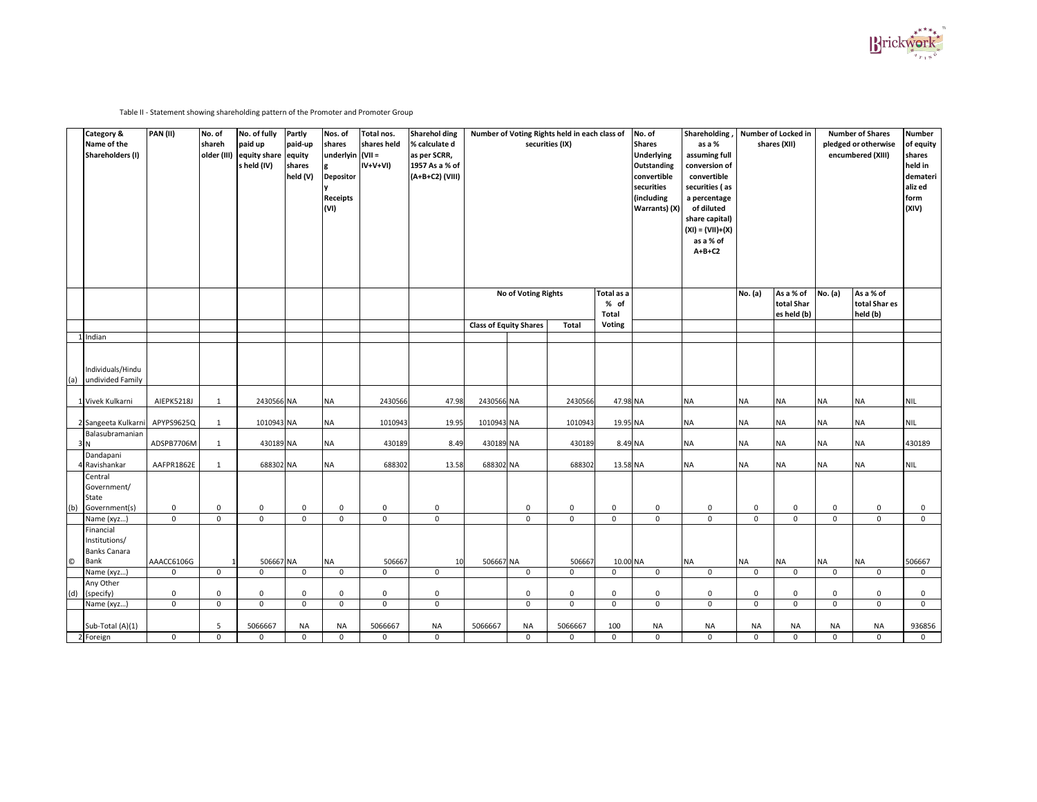Table II - Statement showing shareholding pattern of the Promoter and Promoter Group

|              | <b>Category &amp;</b><br>Name of the<br><b>Shareholders (I)</b> | PAN(II)                    | No. of<br>shareh           | No. of fully<br>paid up<br>older (III) equity share equity<br>s held (IV) | Partly<br>paid-up<br>shares<br>held (V) | Nos. of<br>shares<br>$ $ underlyin $ $ (VII =<br>Depositor<br><b>Receipts</b><br>$\mathsf{V}(\mathsf{V})$ | Total nos.<br>shares held<br>$IV+V+VI)$ | <b>Sharehol ding</b><br>% calculate d<br>as per SCRR,<br>1957 As a % of<br>(A+B+C2) (VIII) |                               |                            | Number of Voting Rights held in each class of<br>securities (IX) |                                    | No. of<br><b>Shares</b><br><b>Underlying</b><br><b>Outstanding</b><br>convertible<br>securities<br>(including<br><b>Warrants)</b> (X) | Shareholding,<br>as a %<br>assuming full<br>conversion of<br>convertible<br>securities (as<br>a percentage<br>of diluted<br>share capital)<br>$(XI) = (VII)+(X)$<br>as a % of<br>$A+B+C2$ |                            | <b>Number of Locked in</b><br>shares (XII) |                            | <b>Number of Shares</b><br>pledged or otherwise<br>encumbered (XIII) | <b>Number</b><br>of equity<br>shares<br>held in<br>demateri<br>aliz ed<br>form<br>(XIV) |
|--------------|-----------------------------------------------------------------|----------------------------|----------------------------|---------------------------------------------------------------------------|-----------------------------------------|-----------------------------------------------------------------------------------------------------------|-----------------------------------------|--------------------------------------------------------------------------------------------|-------------------------------|----------------------------|------------------------------------------------------------------|------------------------------------|---------------------------------------------------------------------------------------------------------------------------------------|-------------------------------------------------------------------------------------------------------------------------------------------------------------------------------------------|----------------------------|--------------------------------------------|----------------------------|----------------------------------------------------------------------|-----------------------------------------------------------------------------------------|
|              |                                                                 |                            |                            |                                                                           |                                         |                                                                                                           |                                         |                                                                                            |                               | <b>No of Voting Rights</b> |                                                                  | Total as a<br>% of<br><b>Total</b> |                                                                                                                                       |                                                                                                                                                                                           | <b>No.</b> (a)             | As a % of<br>total Shar<br>es held (b)     | <b>No.</b> (a)             | As a % of<br>total Shares<br>held (b)                                |                                                                                         |
|              |                                                                 |                            |                            |                                                                           |                                         |                                                                                                           |                                         |                                                                                            | <b>Class of Equity Shares</b> |                            | <b>Total</b>                                                     | <b>Voting</b>                      |                                                                                                                                       |                                                                                                                                                                                           |                            |                                            |                            |                                                                      |                                                                                         |
|              | 1 Indian                                                        |                            |                            |                                                                           |                                         |                                                                                                           |                                         |                                                                                            |                               |                            |                                                                  |                                    |                                                                                                                                       |                                                                                                                                                                                           |                            |                                            |                            |                                                                      |                                                                                         |
| (a)          | Individuals/Hindu<br>undivided Family                           |                            |                            |                                                                           |                                         |                                                                                                           |                                         |                                                                                            |                               |                            |                                                                  |                                    |                                                                                                                                       |                                                                                                                                                                                           |                            |                                            |                            |                                                                      |                                                                                         |
|              | 1 Vivek Kulkarni                                                | AIEPK5218J                 |                            | 2430566 NA                                                                |                                         | <b>NA</b>                                                                                                 | 2430566                                 | 47.98                                                                                      | 2430566 NA                    |                            | 2430566                                                          | 47.98 NA                           |                                                                                                                                       | <b>NA</b>                                                                                                                                                                                 | <b>NA</b>                  | <b>NA</b>                                  | <b>NA</b>                  | <b>NA</b>                                                            | <b>NIL</b>                                                                              |
|              | 2 Sangeeta Kulkarni APYPS9625Q                                  |                            |                            | 1010943 NA                                                                |                                         | <b>NA</b>                                                                                                 | 1010943                                 | 19.95                                                                                      | 1010943 NA                    |                            | 1010943                                                          | 19.95 NA                           |                                                                                                                                       | <b>NA</b>                                                                                                                                                                                 | <b>NA</b>                  | <b>NA</b>                                  | <b>NA</b>                  | <b>NA</b>                                                            | <b>NIL</b>                                                                              |
|              | Balasubramanian                                                 | ADSPB7706M                 |                            | 430189 NA                                                                 |                                         | <b>NA</b>                                                                                                 | 430189                                  | 8.49                                                                                       | 430189 NA                     |                            | 430189                                                           | 8.49 NA                            |                                                                                                                                       | <b>NA</b>                                                                                                                                                                                 | <b>NA</b>                  | <b>NA</b>                                  | <b>NA</b>                  | <b>NA</b>                                                            | 430189                                                                                  |
|              | Dandapani<br>4 Ravishankar                                      | AAFPR1862E                 |                            | 688302 NA                                                                 |                                         | <b>NA</b>                                                                                                 | 688302                                  | 13.58                                                                                      | 688302 NA                     |                            | 688302                                                           | 13.58 NA                           |                                                                                                                                       | <b>NA</b>                                                                                                                                                                                 | <b>NA</b>                  | <b>NA</b>                                  | <b>NA</b>                  | <b>NA</b>                                                            | <b>NIL</b>                                                                              |
|              | Central<br>Government/<br>State                                 |                            |                            |                                                                           |                                         |                                                                                                           |                                         |                                                                                            |                               |                            |                                                                  |                                    |                                                                                                                                       |                                                                                                                                                                                           |                            |                                            |                            |                                                                      |                                                                                         |
| (b)          | Government(s)                                                   | $\mathbf 0$                | $\mathbf 0$                | $\mathbf 0$                                                               | $\mathbf 0$                             | $\mathbf 0$                                                                                               | $\mathbf 0$                             | $\mathbf 0$                                                                                |                               | $\mathbf 0$                | $\mathbf 0$                                                      | $\mathbf 0$                        | $\mathbf 0$                                                                                                                           | $\mathbf 0$                                                                                                                                                                               | $\mathbf 0$                | $\mathbf 0$                                | $\mathbf 0$                | $\mathbf 0$                                                          | $\overline{0}$                                                                          |
|              | Name (xyz)<br>Financial<br>Institutions/<br><b>Banks Canara</b> | $\mathbf 0$                | $\mathbf 0$                | $\mathbf 0$                                                               | $\mathbf 0$                             | $\mathbf 0$                                                                                               | $\mathbf 0$                             | $\mathbf 0$                                                                                |                               | $\mathbf 0$                | $\mathbf 0$                                                      | $\mathbf{0}$                       | $\mathbf 0$                                                                                                                           | $\mathbf 0$                                                                                                                                                                               | $\mathbf 0$                | $\mathbf 0$                                | $\mathbf 0$                | $\mathbf 0$                                                          | $\overline{0}$                                                                          |
| $\copyright$ | Bank                                                            | AAACC6106G                 |                            | 506667 NA                                                                 |                                         | <b>NA</b>                                                                                                 | 506667                                  | 10                                                                                         | 506667 NA                     |                            | 506667                                                           | 10.00 NA                           |                                                                                                                                       | <b>NA</b>                                                                                                                                                                                 | <b>NA</b>                  | <b>NA</b>                                  | <b>NA</b>                  | <b>NA</b>                                                            | 506667                                                                                  |
|              | Name (xyz)                                                      | $\overline{0}$             | $\mathbf{0}$               | $\mathbf 0$                                                               | $\mathbf 0$                             | $\mathbf 0$                                                                                               | $\overline{0}$                          | $\mathbf 0$                                                                                |                               | $\mathbf 0$                | $\overline{0}$                                                   | $\mathbf 0$                        | $\mathbf 0$                                                                                                                           | $\mathbf 0$                                                                                                                                                                               | $\mathbf 0$                | $\mathbf 0$                                | $\overline{0}$             | $\mathbf 0$                                                          | $\overline{0}$                                                                          |
|              | Any Other                                                       |                            |                            |                                                                           |                                         |                                                                                                           |                                         |                                                                                            |                               |                            |                                                                  |                                    |                                                                                                                                       |                                                                                                                                                                                           |                            |                                            |                            |                                                                      |                                                                                         |
| (d)          | (specify)<br>Name (xyz)                                         | $\mathbf 0$<br>$\mathbf 0$ | $\mathbf 0$<br>$\mathbf 0$ | $\mathsf 0$<br>$\mathsf 0$                                                | $\mathbf 0$<br>$\mathbf 0$              | $\mathbf 0$<br>$\mathbf 0$                                                                                | $\mathbf 0$<br>$\mathbf 0$              | $\mathbf 0$<br>$\mathbf 0$                                                                 |                               | $\mathbf 0$<br>$\mathsf 0$ | $\mathbf 0$<br>$\mathbf 0$                                       | $\mathbf 0$<br>$\overline{0}$      | $\mathbf 0$<br>$\mathsf 0$                                                                                                            | $\mathbf 0$<br>$\mathbf{0}$                                                                                                                                                               | $\mathbf 0$<br>$\mathbf 0$ | $\mathbf 0$<br>$\mathbf 0$                 | $\mathbf 0$<br>$\mathbf 0$ | $\mathbf 0$<br>$\mathbf 0$                                           | $\mathbf 0$<br>$\mathbf 0$                                                              |
|              | Sub-Total (A)(1)                                                |                            | 5 <sup>1</sup>             | 5066667                                                                   | <b>NA</b>                               | <b>NA</b>                                                                                                 | 5066667                                 | <b>NA</b>                                                                                  | 5066667                       | <b>NA</b>                  | 5066667                                                          | 100                                | <b>NA</b>                                                                                                                             | <b>NA</b>                                                                                                                                                                                 | <b>NA</b>                  | <b>NA</b>                                  | <b>NA</b>                  | <b>NA</b>                                                            | 936856                                                                                  |
|              | 2 Foreign                                                       | $\mathbf 0$                | $\mathbf 0$                | $\mathbf 0$                                                               | $\mathbf 0$                             | 0                                                                                                         | $\overline{0}$                          | $\mathbf{0}$                                                                               |                               | $\mathbf 0$                | $\overline{0}$                                                   | $\overline{0}$                     | $\mathbf 0$                                                                                                                           | $\mathbf 0$                                                                                                                                                                               | $\mathbf 0$                | $\mathbf 0$                                | $\overline{0}$             | $\mathbf 0$                                                          | $\overline{0}$                                                                          |
|              |                                                                 |                            |                            |                                                                           |                                         |                                                                                                           |                                         |                                                                                            |                               |                            |                                                                  |                                    |                                                                                                                                       |                                                                                                                                                                                           |                            |                                            |                            |                                                                      |                                                                                         |

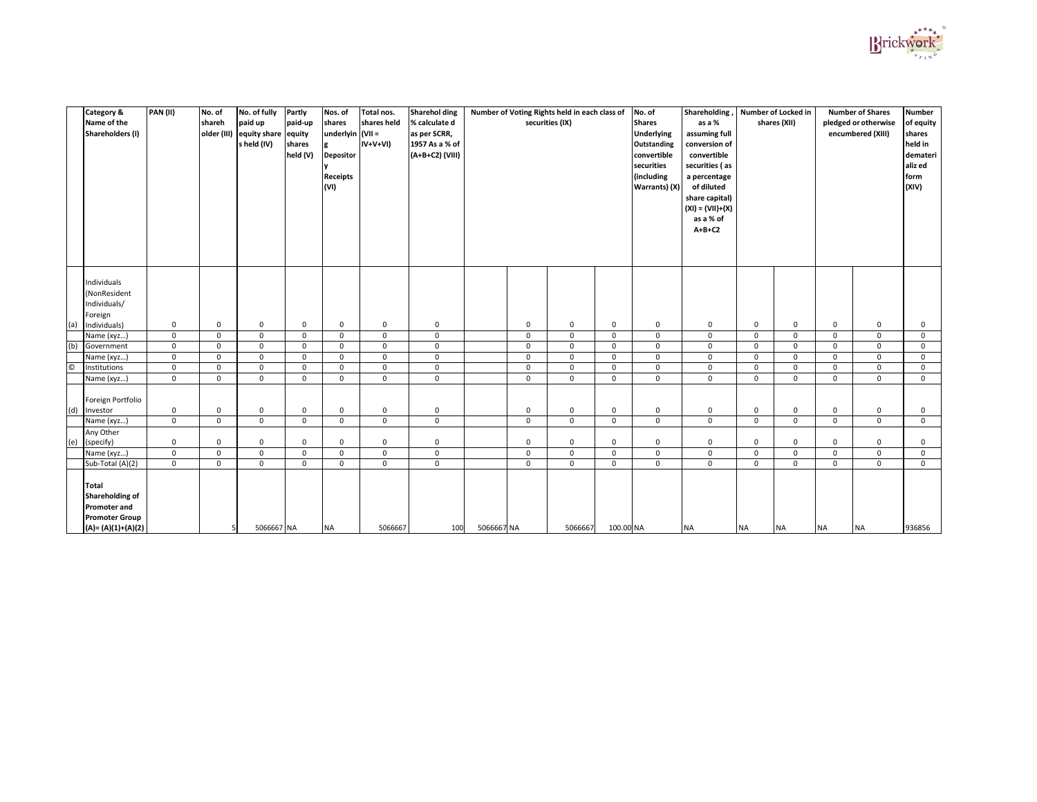|         | <b>Category &amp;</b><br>Name of the<br>Shareholders (I)                                                        | PAN(II)     | No. of<br>shareh | No. of fully<br>paid up<br>older (III) equity share equity<br>s held (IV) | <b>Partly</b><br>paid-up<br>shares<br>held (V) | Nos. of<br>shares<br>$ $ underlyin $ $ (VII =<br>Depositor<br><b>Receipts</b><br>(VI) | Total nos.<br>shares held<br>$IV+V+VI)$ | <b>Sharehol ding</b><br>% calculate d<br>as per SCRR,<br>1957 As a % of<br>(A+B+C2) (VIII) |            |             | Number of Voting Rights held in each class of<br>securities (IX) |              | No. of<br><b>Shares</b><br><b>Underlying</b><br><b>Outstanding</b><br>convertible<br>securities<br>(including<br>Warrants) $(X)$ | Shareholding,<br>as a %<br>assuming full<br>conversion of<br>convertible<br>securities (as<br>a percentage<br>of diluted<br>share capital)<br>$(XI) = (VII)+(X)$<br>as a % of<br>$A+B+C2$ |                | Number of Locked in<br>shares (XII) |              | <b>Number of Shares</b><br>pledged or otherwise<br>encumbered (XIII) | <b>Number</b><br>of equity<br>shares<br>held in<br>demateri<br>aliz ed<br>form<br>(XIV) |
|---------|-----------------------------------------------------------------------------------------------------------------|-------------|------------------|---------------------------------------------------------------------------|------------------------------------------------|---------------------------------------------------------------------------------------|-----------------------------------------|--------------------------------------------------------------------------------------------|------------|-------------|------------------------------------------------------------------|--------------|----------------------------------------------------------------------------------------------------------------------------------|-------------------------------------------------------------------------------------------------------------------------------------------------------------------------------------------|----------------|-------------------------------------|--------------|----------------------------------------------------------------------|-----------------------------------------------------------------------------------------|
|         | Individuals<br>(NonResident                                                                                     |             |                  |                                                                           |                                                |                                                                                       |                                         |                                                                                            |            |             |                                                                  |              |                                                                                                                                  |                                                                                                                                                                                           |                |                                     |              |                                                                      |                                                                                         |
|         | Individuals/<br>Foreign                                                                                         |             |                  |                                                                           |                                                |                                                                                       |                                         |                                                                                            |            |             |                                                                  |              |                                                                                                                                  |                                                                                                                                                                                           |                |                                     |              |                                                                      |                                                                                         |
| (a)     | Individuals)                                                                                                    | $\mathbf 0$ | $\mathbf 0$      | $\mathbf 0$                                                               | $\mathbf 0$                                    | $\mathbf 0$                                                                           | $\mathbf 0$                             | $\mathbf 0$                                                                                |            | $\mathbf 0$ | $\mathbf 0$                                                      | 0            | $\overline{0}$                                                                                                                   | $\mathbf 0$                                                                                                                                                                               | $\mathbf 0$    | $\mathsf{O}$                        | $\mathbf 0$  | $\overline{0}$                                                       | 0                                                                                       |
|         | Name (xyz)                                                                                                      | $\mathbf 0$ | $\mathbf 0$      | $\overline{0}$                                                            | $\mathbf 0$                                    | $\mathbf 0$                                                                           | $\mathbf 0$                             | 0                                                                                          |            | $\mathbf 0$ | $\mathbf 0$                                                      | $\mathbf{0}$ | $\overline{0}$                                                                                                                   | $\mathbf 0$                                                                                                                                                                               | $\mathbf 0$    | $\mathbf 0$                         | $\mathbf 0$  | $\mathbf 0$                                                          | $\mathbf 0$                                                                             |
| (b)     | Government                                                                                                      | $\mathbf 0$ | $\mathbf 0$      | $\overline{0}$                                                            | $\mathbf 0$                                    | 0                                                                                     | $\mathbf 0$                             | $\mathbf 0$                                                                                |            | $\mathbf 0$ | $\mathbf 0$                                                      | $\mathbf{0}$ | $\overline{0}$                                                                                                                   | $\mathbf 0$                                                                                                                                                                               | $\mathbf 0$    | 0                                   | $\mathbf 0$  | $\mathbf 0$                                                          | $\mathbf 0$                                                                             |
|         | Name (xyz)                                                                                                      | $\mathbf 0$ | $\mathbf 0$      | $\mathbf 0$                                                               | $\mathbf 0$                                    | $\mathbf 0$                                                                           | $\mathbf 0$                             | $\mathbf 0$                                                                                |            | $\mathbf 0$ | $\mathbf 0$                                                      | $\mathbf 0$  | $\mathbf 0$                                                                                                                      | $\mathbf 0$                                                                                                                                                                               | $\overline{0}$ | 0                                   | $\mathbf{0}$ | $\overline{0}$                                                       | $\mathbf 0$                                                                             |
| $\odot$ | Institutions                                                                                                    | $\mathbf 0$ | $\mathbf 0$      | $\mathbf 0$                                                               | $\mathbf 0$                                    | $\mathbf 0$                                                                           | $\mathbf 0$                             | $\mathbf 0$                                                                                |            | $\mathbf 0$ | $\mathbf 0$                                                      | $\mathbf 0$  | $\overline{0}$                                                                                                                   | $\mathbf 0$                                                                                                                                                                               | $\mathbf 0$    | $\mathsf{O}$                        | $\mathbf 0$  | $\overline{0}$                                                       | $\mathbf 0$                                                                             |
|         | Name (xyz)                                                                                                      | $\mathbf 0$ | $\mathbf 0$      | $\mathbf 0$                                                               | $\mathbf 0$                                    | $\mathbf 0$                                                                           | $\mathbf 0$                             | $\mathbf 0$                                                                                |            | $\mathbf 0$ | $\mathbf 0$                                                      | $\mathbf 0$  | $\mathbf 0$                                                                                                                      | $\mathsf{O}$                                                                                                                                                                              | $\mathbf{0}$   | $\mathbf 0$                         | $\mathbf{0}$ | $\mathsf 0$                                                          | $\mathbf 0$                                                                             |
| (d)     | Foreign Portfolio<br>Investor                                                                                   | $\mathbf 0$ | $\mathbf 0$      | $\mathsf 0$                                                               | $\mathbf 0$                                    | $\mathbf 0$                                                                           | $\mathbf 0$                             | $\mathbf 0$                                                                                |            | $\mathbf 0$ | $\mathbf 0$                                                      | $\mathbf 0$  | $\mathbf 0$                                                                                                                      | $\mathbf 0$                                                                                                                                                                               | $\mathbf 0$    | $\mathsf{O}$                        | $\mathbf 0$  | $\mathbf 0$                                                          | $\mathbf 0$                                                                             |
|         | Name (xyz)                                                                                                      | $\mathbf 0$ | $\mathbf 0$      | $\mathbf 0$                                                               | $\mathbf 0$                                    | 0                                                                                     | $\mathbf 0$                             | $\mathbf 0$                                                                                |            | $\mathbf 0$ | $\mathbf 0$                                                      | $\mathbf 0$  | $\mathbf 0$                                                                                                                      | $\mathbf 0$                                                                                                                                                                               | $\mathbf 0$    | $\mathsf{O}$                        | $\mathbf 0$  | $\overline{0}$                                                       | $\mathbf 0$                                                                             |
|         | Any Other                                                                                                       |             |                  |                                                                           |                                                |                                                                                       |                                         |                                                                                            |            |             |                                                                  |              |                                                                                                                                  |                                                                                                                                                                                           |                |                                     |              |                                                                      |                                                                                         |
| (e)     | (specify)                                                                                                       | $\mathbf 0$ | 0                | $\mathbf 0$                                                               | $\mathbf 0$                                    | $\mathbf 0$                                                                           | $\mathbf 0$                             | 0                                                                                          |            | $\mathbf 0$ | $\mathbf 0$                                                      | 0            | $\mathbf 0$                                                                                                                      | $\mathbf 0$                                                                                                                                                                               | $\mathbf{0}$   | 0                                   | 0            | $\mathbf 0$                                                          | 0                                                                                       |
|         | Name (xyz)                                                                                                      | $\mathbf 0$ | $\mathbf 0$      | $\mathbf 0$                                                               | $\mathbf 0$                                    | $\mathbf 0$                                                                           | $\mathbf 0$                             | $\mathbf 0$                                                                                |            | $\mathbf 0$ | $\mathbf 0$                                                      | $\mathbf 0$  | $\overline{0}$                                                                                                                   | $\mathbf 0$                                                                                                                                                                               | $\mathbf 0$    | $\mathbf 0$                         | $\mathbf 0$  | $\overline{0}$                                                       | $\mathbf 0$                                                                             |
|         | Sub-Total (A)(2)                                                                                                | $\mathbf 0$ | $\mathbf 0$      | $\mathbf 0$                                                               | $\mathbf 0$                                    | $\mathbf 0$                                                                           | $\mathbf 0$                             | $\mathbf 0$                                                                                |            | $\mathbf 0$ | $\mathbf 0$                                                      | $\mathbf 0$  | $\mathbf 0$                                                                                                                      | $\mathbf 0$                                                                                                                                                                               | $\mathbf 0$    | 0                                   | $\mathbf 0$  | $\mathbf 0$                                                          | $\mathbf 0$                                                                             |
|         | <b>Total</b><br><b>Shareholding of</b><br><b>Promoter and</b><br><b>Promoter Group</b><br>$(A) = (A)(1)+(A)(2)$ |             |                  | 5066667 NA                                                                |                                                | <b>NA</b>                                                                             | 5066667                                 | 100                                                                                        | 5066667 NA |             | 5066667                                                          | 100.00 NA    |                                                                                                                                  | <b>NA</b>                                                                                                                                                                                 | <b>NA</b>      | <b>NA</b>                           | <b>NA</b>    | <b>NA</b>                                                            | 936856                                                                                  |

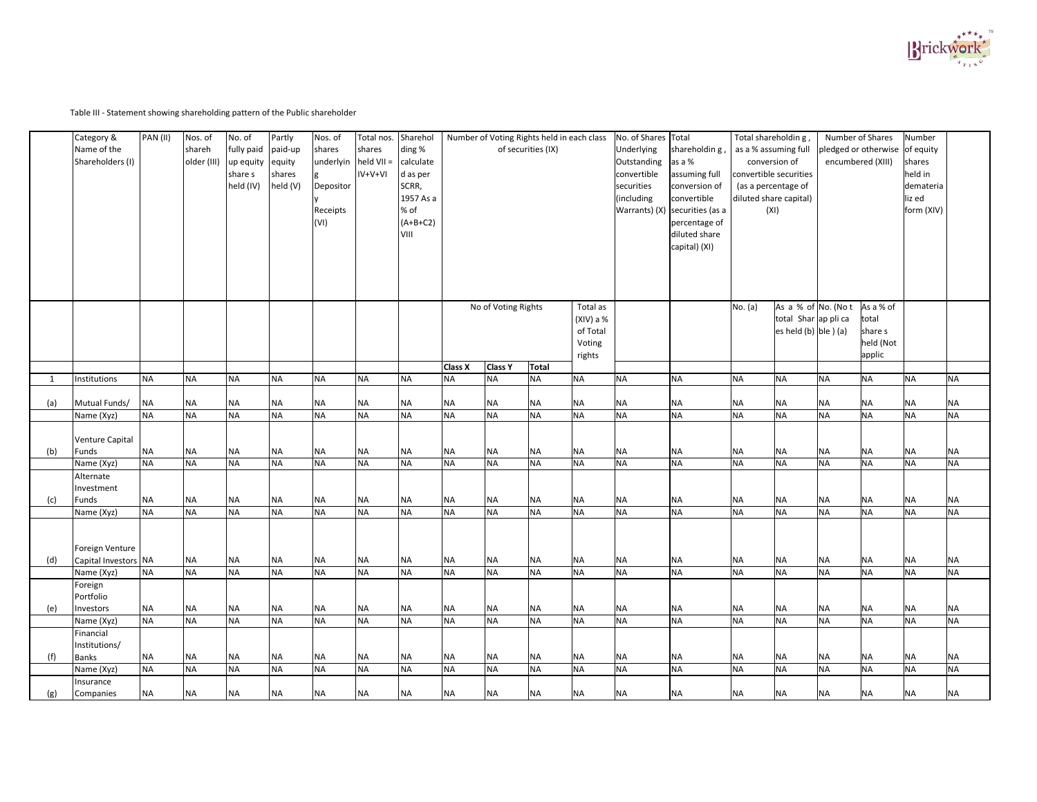Table III - Statement showing shareholding pattern of the Public shareholder

|     | Category &<br>Name of the<br>Shareholders (I) | PAN (II)  | Nos. of<br>shareh<br>older (III) | No. of<br>fully paid<br>up equity<br>share s<br>held (IV) | Partly<br>paid-up<br>equity<br>shares<br>held (V) | Nos. of<br>shares<br>underlyin<br>Depositor<br>Receipts<br>(VI) | Total nos.<br>shares<br>$held VII =$<br>$IV+V+VI$ | Sharehol<br>ding %<br>calculate<br>d as per<br>SCRR,<br>1957 As a<br>% of<br>$(A+B+C2)$<br>VIII |                |                     | Number of Voting Rights held in each class<br>of securities (IX) |                                                         | No. of Shares Total<br>Underlying<br>Outstanding<br>convertible<br>securities<br>(including | shareholdin g,<br>as a %<br>assuming full<br>conversion of<br>convertible<br>Warrants) $(X)$ securities (as a<br>percentage of<br>diluted share<br>capital) (XI) | Total shareholdin g,<br>as a % assuming full<br>conversion of<br>convertible securities<br>(as a percentage of<br>diluted share capital)<br>(XI) |                                                                             |           | Number of Shares<br>pledged or otherwise of equity<br>encumbered (XIII) | Number<br>shares<br>held in<br>demateria<br>liz ed<br>form (XIV) |           |
|-----|-----------------------------------------------|-----------|----------------------------------|-----------------------------------------------------------|---------------------------------------------------|-----------------------------------------------------------------|---------------------------------------------------|-------------------------------------------------------------------------------------------------|----------------|---------------------|------------------------------------------------------------------|---------------------------------------------------------|---------------------------------------------------------------------------------------------|------------------------------------------------------------------------------------------------------------------------------------------------------------------|--------------------------------------------------------------------------------------------------------------------------------------------------|-----------------------------------------------------------------------------|-----------|-------------------------------------------------------------------------|------------------------------------------------------------------|-----------|
|     |                                               |           |                                  |                                                           |                                                   |                                                                 |                                                   |                                                                                                 |                | No of Voting Rights |                                                                  | Total as<br>$(XIV)$ a %<br>of Total<br>Voting<br>rights |                                                                                             |                                                                                                                                                                  | No. (a)                                                                                                                                          | As a % of No. (Not<br>total Shar ap pli ca<br>es held (b) $\vert$ ble ) (a) |           | As a % of<br>total<br>share s<br>held (Not<br>applic                    |                                                                  |           |
|     |                                               |           |                                  |                                                           |                                                   |                                                                 |                                                   |                                                                                                 | <b>Class X</b> | <b>Class Y</b>      | Total                                                            |                                                         |                                                                                             |                                                                                                                                                                  |                                                                                                                                                  |                                                                             |           |                                                                         |                                                                  |           |
|     | Institutions                                  | <b>NA</b> | <b>NA</b>                        | <b>NA</b>                                                 | <b>NA</b>                                         | <b>NA</b>                                                       | <b>NA</b>                                         | <b>NA</b>                                                                                       | <b>NA</b>      | <b>NA</b>           | <b>NA</b>                                                        | <b>NA</b>                                               | <b>NA</b>                                                                                   | <b>NA</b>                                                                                                                                                        | <b>NA</b>                                                                                                                                        | <b>NA</b>                                                                   | <b>NA</b> | <b>NA</b>                                                               | <b>NA</b>                                                        | <b>NA</b> |
| (a) | Mutual Funds/                                 | $N_A$     | <b>NA</b>                        | $\sf NA$                                                  | NA                                                | <b>NA</b>                                                       | <b>NA</b>                                         | <b>NA</b>                                                                                       | <b>NA</b>      | <b>NA</b>           | <b>NA</b>                                                        | <b>NA</b>                                               | <b>NA</b>                                                                                   | <b>NA</b>                                                                                                                                                        | <b>NA</b>                                                                                                                                        | <b>NA</b>                                                                   | <b>NA</b> | <b>NA</b>                                                               | <b>NA</b>                                                        | <b>NA</b> |
|     | Name (Xyz)                                    | <b>NA</b> | <b>NA</b>                        | <b>NA</b>                                                 | <b>NA</b>                                         | <b>NA</b>                                                       | <b>NA</b>                                         | <b>NA</b>                                                                                       | <b>NA</b>      | <b>NA</b>           | <b>NA</b>                                                        | <b>NA</b>                                               | <b>NA</b>                                                                                   | <b>NA</b>                                                                                                                                                        | <b>NA</b>                                                                                                                                        | <b>NA</b>                                                                   | <b>NA</b> | <b>NA</b>                                                               | <b>NA</b>                                                        | <b>NA</b> |
| (b) | Venture Capital<br>Funds                      | <b>NA</b> | <b>NA</b>                        | $\sf NA$                                                  | <b>NA</b>                                         | <b>NA</b>                                                       | <b>NA</b>                                         | <b>NA</b>                                                                                       | <b>NA</b>      | <b>NA</b>           | <b>NA</b>                                                        | <b>NA</b>                                               | <b>NA</b>                                                                                   | <b>NA</b>                                                                                                                                                        | <b>NA</b>                                                                                                                                        | <b>NA</b>                                                                   | <b>NA</b> | <b>NA</b>                                                               | <b>NA</b>                                                        | <b>NA</b> |
|     | Name (Xyz)                                    | <b>NA</b> | NA                               | NA                                                        | <b>NA</b>                                         | <b>NA</b>                                                       | <b>NA</b>                                         | <b>NA</b>                                                                                       | <b>NA</b>      | <b>NA</b>           | <b>NA</b>                                                        | <b>NA</b>                                               | <b>NA</b>                                                                                   | <b>NA</b>                                                                                                                                                        | <b>NA</b>                                                                                                                                        | <b>NA</b>                                                                   | <b>NA</b> | <b>NA</b>                                                               | <b>NA</b>                                                        | <b>NA</b> |
|     | Alternate<br>Investment<br>Funds              | <b>NA</b> | <b>NA</b>                        | <b>NA</b>                                                 | <b>NA</b>                                         | <b>NA</b>                                                       | <b>NA</b>                                         | <b>NA</b>                                                                                       | <b>NA</b>      | <b>NA</b>           | <b>NA</b>                                                        | <b>NA</b>                                               | <b>NA</b>                                                                                   | <b>NA</b>                                                                                                                                                        | <b>NA</b>                                                                                                                                        | <b>NA</b>                                                                   | <b>NA</b> | <b>NA</b>                                                               | <b>NA</b>                                                        | <b>NA</b> |
| (c) | Name (Xyz)                                    | <b>NA</b> | <b>NA</b>                        | <b>NA</b>                                                 | <b>NA</b>                                         | <b>NA</b>                                                       | <b>NA</b>                                         | <b>NA</b>                                                                                       | <b>NA</b>      | <b>NA</b>           | <b>NA</b>                                                        | <b>NA</b>                                               | <b>NA</b>                                                                                   | <b>NA</b>                                                                                                                                                        | <b>NA</b>                                                                                                                                        | <b>NA</b>                                                                   | <b>NA</b> | <b>NA</b>                                                               | <b>NA</b>                                                        | <b>NA</b> |
| (d) | Foreign Venture<br>Capital Investors NA       |           | <b>NA</b>                        | <b>NA</b>                                                 | <b>NA</b>                                         | <b>NA</b>                                                       | <b>NA</b>                                         | <b>NA</b>                                                                                       | <b>NA</b>      | <b>NA</b>           | <b>NA</b>                                                        | <b>NA</b>                                               | <b>NA</b>                                                                                   | <b>NA</b>                                                                                                                                                        | <b>NA</b>                                                                                                                                        | <b>NA</b>                                                                   | <b>NA</b> | <b>NA</b>                                                               | <b>NA</b>                                                        | <b>NA</b> |
|     | Name (Xyz)                                    | <b>NA</b> | <b>NA</b>                        | <b>NA</b>                                                 | <b>NA</b>                                         | <b>NA</b>                                                       | <b>NA</b>                                         | <b>NA</b>                                                                                       | <b>NA</b>      | <b>NA</b>           | <b>NA</b>                                                        | <b>NA</b>                                               | <b>NA</b>                                                                                   | <b>NA</b>                                                                                                                                                        | <b>NA</b>                                                                                                                                        | <b>NA</b>                                                                   | <b>NA</b> | <b>NA</b>                                                               | <b>NA</b>                                                        | <b>NA</b> |
| (e) | Foreign<br>Portfolio<br>Investors             | <b>NA</b> | <b>NA</b>                        | <b>NA</b>                                                 | <b>NA</b>                                         | <b>NA</b>                                                       | <b>NA</b>                                         | <b>NA</b>                                                                                       | <b>NA</b>      | <b>NA</b>           | <b>NA</b>                                                        | <b>NA</b>                                               | <b>NA</b>                                                                                   | <b>NA</b>                                                                                                                                                        | <b>NA</b>                                                                                                                                        | <b>NA</b>                                                                   | <b>NA</b> | <b>NA</b>                                                               | <b>NA</b>                                                        | <b>NA</b> |
|     | Name (Xyz)                                    | <b>NA</b> | <b>NA</b>                        | <b>NA</b>                                                 | <b>NA</b>                                         | <b>NA</b>                                                       | <b>NA</b>                                         | <b>NA</b>                                                                                       | <b>NA</b>      | <b>NA</b>           | <b>NA</b>                                                        | <b>NA</b>                                               | <b>NA</b>                                                                                   | <b>NA</b>                                                                                                                                                        | <b>NA</b>                                                                                                                                        | <b>NA</b>                                                                   | <b>NA</b> | <b>NA</b>                                                               | <b>NA</b>                                                        | <b>NA</b> |
|     | Financial<br>Institutions/                    |           |                                  |                                                           |                                                   |                                                                 |                                                   |                                                                                                 |                |                     |                                                                  |                                                         |                                                                                             |                                                                                                                                                                  |                                                                                                                                                  |                                                                             |           |                                                                         |                                                                  |           |
| (f) | <b>Banks</b>                                  | <b>NA</b> | <b>NA</b>                        | <b>NA</b>                                                 | <b>NA</b>                                         | <b>NA</b>                                                       | <b>NA</b>                                         | <b>NA</b>                                                                                       | <b>NA</b>      | <b>NA</b>           | <b>NA</b>                                                        | <b>NA</b>                                               | <b>NA</b>                                                                                   | <b>NA</b>                                                                                                                                                        | <b>NA</b>                                                                                                                                        | <b>NA</b>                                                                   | <b>NA</b> | <b>NA</b>                                                               | <b>NA</b>                                                        | <b>NA</b> |
|     | Name (Xyz)                                    | <b>NA</b> | <b>NA</b>                        | <b>NA</b>                                                 | <b>NA</b>                                         | <b>NA</b>                                                       | <b>NA</b>                                         | <b>NA</b>                                                                                       | <b>NA</b>      | <b>NA</b>           | <b>NA</b>                                                        | <b>NA</b>                                               | <b>NA</b>                                                                                   | <b>NA</b>                                                                                                                                                        | <b>NA</b>                                                                                                                                        | <b>NA</b>                                                                   | <b>NA</b> | <b>NA</b>                                                               | <b>NA</b>                                                        | <b>NA</b> |
| (g) | Insurance<br>Companies                        | <b>NA</b> | <b>NA</b>                        | <b>NA</b>                                                 | <b>NA</b>                                         | <b>NA</b>                                                       | <b>NA</b>                                         | <b>NA</b>                                                                                       | <b>NA</b>      | <b>NA</b>           | <b>NA</b>                                                        | <b>NA</b>                                               | <b>NA</b>                                                                                   | <b>NA</b>                                                                                                                                                        | <b>NA</b>                                                                                                                                        | <b>NA</b>                                                                   | <b>NA</b> | <b>NA</b>                                                               | <b>NA</b>                                                        | <b>NA</b> |

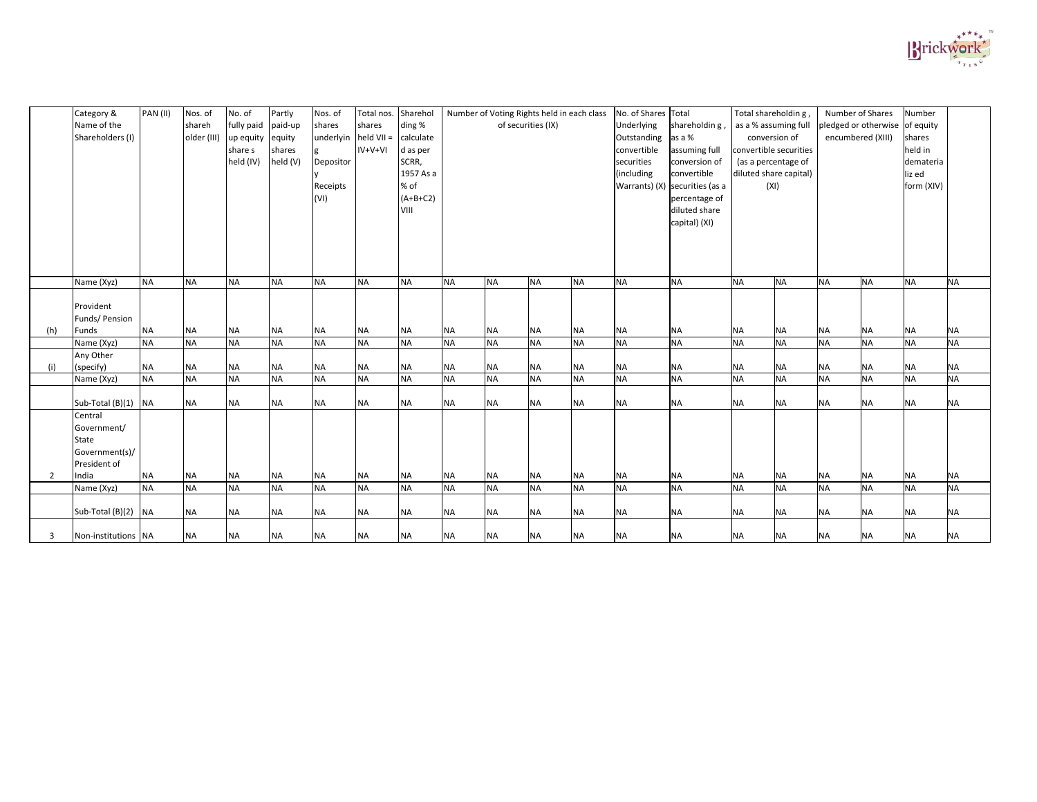|     | Category &<br>Name of the<br>Shareholders (I)                     | PAN (II)               | Nos. of<br>shareh<br>older (III) | No. of<br>fully paid   paid-up<br>$up$ equity equity<br>share s<br>held (IV) | Partly<br>shares<br>held (V) | Nos. of<br>shares<br>underlyin held VII =<br>Depositor<br>Receipts<br>(VI) | Total nos.<br>shares<br>$IV+V+VI$ | Sharehol<br>ding %<br>calculate<br>d as per<br>SCRR,<br>1957 As a<br>% of<br>$(A+B+C2)$<br>VIII |                        |                        | Number of Voting Rights held in each class<br>of securities (IX) |                        | No. of Shares Total<br>Underlying<br>Outstanding<br>convertible<br>securities<br>(including | shareholdin g<br>as a %<br>assuming full<br>conversion of<br>convertible<br>Warrants) (X) securities (as a<br>percentage of<br>diluted share | Total shareholdin g,<br>as a % assuming full<br>conversion of<br>diluted share capital)<br>(XI) | convertible securities<br>(as a percentage of | encumbered (XIII)      | Number of Shares<br>pledged or otherwise of equity | Number<br>shares<br>held in<br>demateria<br>liz ed<br>form (XIV) |                        |
|-----|-------------------------------------------------------------------|------------------------|----------------------------------|------------------------------------------------------------------------------|------------------------------|----------------------------------------------------------------------------|-----------------------------------|-------------------------------------------------------------------------------------------------|------------------------|------------------------|------------------------------------------------------------------|------------------------|---------------------------------------------------------------------------------------------|----------------------------------------------------------------------------------------------------------------------------------------------|-------------------------------------------------------------------------------------------------|-----------------------------------------------|------------------------|----------------------------------------------------|------------------------------------------------------------------|------------------------|
|     |                                                                   |                        |                                  |                                                                              |                              |                                                                            |                                   |                                                                                                 |                        |                        |                                                                  |                        |                                                                                             | capital) (XI)                                                                                                                                |                                                                                                 |                                               |                        |                                                    |                                                                  |                        |
|     | Name (Xyz)                                                        | <b>NA</b>              | <b>NA</b>                        | <b>NA</b>                                                                    | <b>NA</b>                    | <b>NA</b>                                                                  | <b>NA</b>                         | <b>NA</b>                                                                                       | <b>NA</b>              | <b>NA</b>              | <b>NA</b>                                                        | <b>NA</b>              | <b>NA</b>                                                                                   | <b>NA</b>                                                                                                                                    | <b>NA</b>                                                                                       | <b>NA</b>                                     | <b>NA</b>              | <b>NA</b>                                          | <b>NA</b>                                                        | <b>NA</b>              |
|     | Provident<br>Funds/ Pension                                       |                        |                                  |                                                                              |                              |                                                                            |                                   |                                                                                                 |                        |                        |                                                                  |                        |                                                                                             |                                                                                                                                              |                                                                                                 |                                               |                        |                                                    |                                                                  |                        |
| (h) | Funds<br>Name (Xyz)                                               | <b>NA</b><br><b>NA</b> | <b>NA</b><br><b>NA</b>           | <b>NA</b><br><b>NA</b>                                                       | <b>NA</b><br><b>NA</b>       | <b>NA</b><br><b>NA</b>                                                     | <b>NA</b><br><b>NA</b>            | <b>NA</b><br><b>NA</b>                                                                          | <b>NA</b><br><b>NA</b> | <b>NA</b><br><b>NA</b> | <b>NA</b><br><b>NA</b>                                           | <b>NA</b><br><b>NA</b> | <b>NA</b><br><b>NA</b>                                                                      | <b>NA</b><br><b>NA</b>                                                                                                                       | <b>NA</b><br><b>NA</b>                                                                          | <b>NA</b><br><b>NA</b>                        | <b>NA</b><br><b>NA</b> | <b>NA</b><br><b>NA</b>                             | <b>NA</b><br><b>NA</b>                                           | <b>NA</b><br><b>NA</b> |
|     | Any Other                                                         |                        |                                  |                                                                              |                              |                                                                            |                                   |                                                                                                 |                        |                        |                                                                  |                        |                                                                                             |                                                                                                                                              |                                                                                                 |                                               |                        |                                                    |                                                                  |                        |
| (i) | (specify)                                                         | <b>NA</b>              | <b>NA</b>                        | $\sf NA$                                                                     | <b>NA</b>                    | <b>NA</b>                                                                  | <b>NA</b>                         | <b>NA</b>                                                                                       | <b>NA</b>              | <b>NA</b>              | <b>NA</b>                                                        | <b>NA</b>              | <b>NA</b>                                                                                   | <b>NA</b>                                                                                                                                    | <b>NA</b>                                                                                       | <b>NA</b>                                     | <b>NA</b>              | <b>NA</b>                                          | <b>NA</b>                                                        | <b>NA</b>              |
|     | Name (Xyz)                                                        | <b>NA</b>              | <b>NA</b>                        | <b>NA</b>                                                                    | <b>NA</b>                    | <b>NA</b>                                                                  | <b>NA</b>                         | <b>NA</b>                                                                                       | <b>NA</b>              | <b>NA</b>              | <b>NA</b>                                                        | <b>NA</b>              | <b>NA</b>                                                                                   | <b>NA</b>                                                                                                                                    | <b>NA</b>                                                                                       | <b>NA</b>                                     | <b>NA</b>              | <b>NA</b>                                          | <b>NA</b>                                                        | <b>NA</b>              |
|     | Sub-Total $(B)(1)$ NA                                             |                        | <b>NA</b>                        | <b>NA</b>                                                                    | <b>NA</b>                    | <b>NA</b>                                                                  | <b>NA</b>                         | <b>NA</b>                                                                                       | <b>NA</b>              | <b>NA</b>              | <b>NA</b>                                                        | <b>NA</b>              | <b>NA</b>                                                                                   | <b>NA</b>                                                                                                                                    | <b>NA</b>                                                                                       | <b>NA</b>                                     | <b>NA</b>              | <b>NA</b>                                          | <b>NA</b>                                                        | <b>NA</b>              |
|     | Central<br>Government/<br>State<br>Government(s)/<br>President of |                        |                                  |                                                                              |                              |                                                                            |                                   |                                                                                                 |                        |                        |                                                                  |                        |                                                                                             |                                                                                                                                              |                                                                                                 |                                               |                        |                                                    |                                                                  |                        |
|     | India                                                             | <b>NA</b>              | <b>NA</b>                        | <b>NA</b>                                                                    | <b>NA</b>                    | <b>NA</b>                                                                  | <b>NA</b>                         | <b>NA</b>                                                                                       | <b>NA</b>              | <b>NA</b>              | <b>NA</b>                                                        | <b>NA</b>              | <b>NA</b>                                                                                   | <b>NA</b>                                                                                                                                    | <b>NA</b>                                                                                       | <b>NA</b>                                     | <b>NA</b>              | <b>NA</b>                                          | <b>NA</b>                                                        | <b>NA</b>              |
|     | Name (Xyz)                                                        | <b>NA</b>              | <b>NA</b>                        | <b>NA</b>                                                                    | <b>NA</b>                    | <b>NA</b>                                                                  | <b>NA</b>                         | <b>NA</b>                                                                                       | <b>NA</b>              | <b>NA</b>              | <b>NA</b>                                                        | <b>NA</b>              | <b>NA</b>                                                                                   | <b>NA</b>                                                                                                                                    | <b>NA</b>                                                                                       | <b>NA</b>                                     | <b>NA</b>              | <b>NA</b>                                          | <b>NA</b>                                                        | <b>NA</b>              |
|     | Sub-Total $(B)(2)$ NA                                             |                        | <b>NA</b>                        | <b>NA</b>                                                                    | <b>NA</b>                    | <b>NA</b>                                                                  | <b>NA</b>                         | <b>NA</b>                                                                                       | <b>NA</b>              | <b>NA</b>              | <b>NA</b>                                                        | <b>NA</b>              | <b>NA</b>                                                                                   | <b>NA</b>                                                                                                                                    | <b>NA</b>                                                                                       | <b>NA</b>                                     | <b>NA</b>              | <b>NA</b>                                          | <b>NA</b>                                                        | <b>NA</b>              |
|     | Non-institutions NA                                               |                        | <b>NA</b>                        | <b>NA</b>                                                                    | <b>NA</b>                    | <b>NA</b>                                                                  | <b>NA</b>                         | <b>NA</b>                                                                                       | ΝA                     | <b>NA</b>              | <b>NA</b>                                                        | <b>NA</b>              | <b>NA</b>                                                                                   | <b>NA</b>                                                                                                                                    | ΝA                                                                                              | <b>NA</b>                                     | <b>NA</b>              | <b>NA</b>                                          | <b>NA</b>                                                        | <b>NA</b>              |

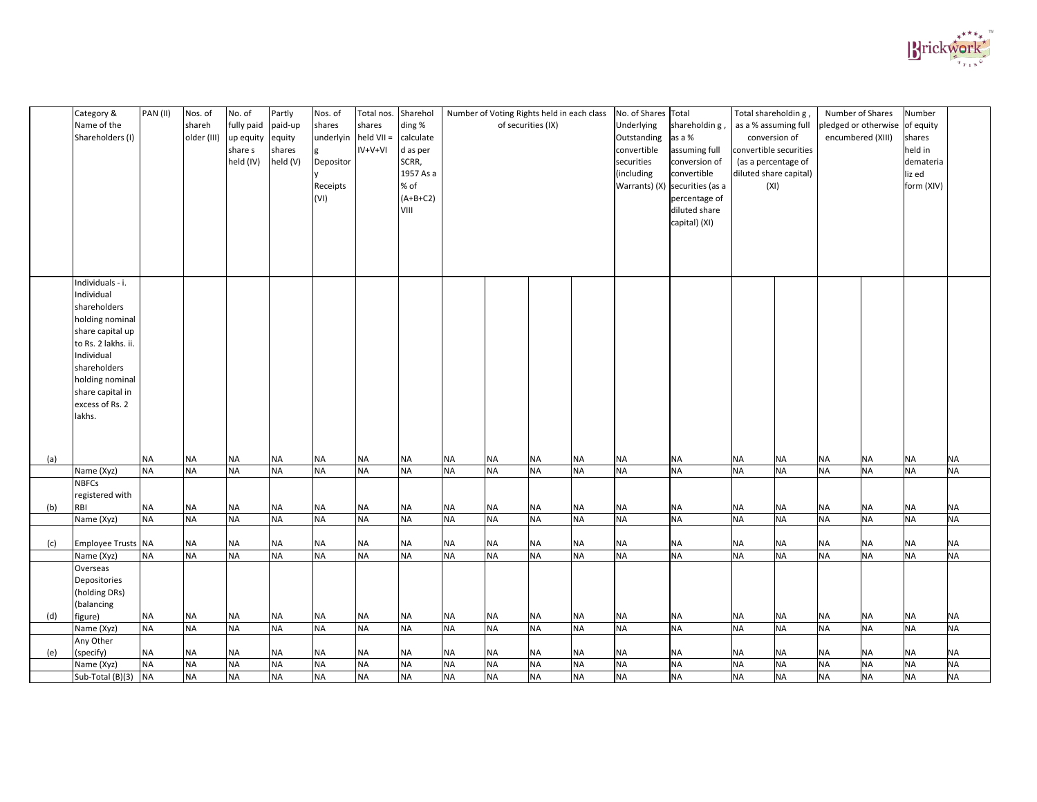| diluted share<br>VIII<br>capital) (XI)<br>Individuals - i.<br>Individual<br>shareholders<br>holding nominal<br>share capital up<br>to Rs. 2 lakhs. ii.<br>Individual<br>shareholders<br>holding nominal<br>share capital in<br>excess of Rs. 2<br>lakhs.<br><b>NA</b><br><b>NA</b><br><b>NA</b><br><b>NA</b><br>(a)<br><b>NA</b><br><b>NA</b><br><b>NA</b><br><b>NA</b><br><b>NA</b><br><b>NA</b><br><b>NA</b><br><b>NA</b><br><b>NA</b><br><b>NA</b><br><b>NA</b><br><b>NA</b><br><b>NA</b><br><b>NA</b><br><b>NA</b><br><b>NA</b><br><b>NA</b><br>NA<br><b>NA</b><br><b>NA</b><br><b>NA</b><br><b>NA</b><br><b>NA</b><br><b>NA</b><br><b>NA</b><br><b>NA</b><br><b>NA</b><br><b>NA</b><br><b>NA</b><br><b>NA</b><br>Name (Xyz)<br><b>NA</b><br><b>NA</b><br><b>NA</b><br><b>NA</b><br><b>NBFCs</b><br>registered with<br><b>NA</b><br>(b)<br><b>NA</b><br><b>NA</b><br><b>NA</b><br><b>NA</b><br><b>NA</b><br><b>NA</b><br><b>NA</b><br><b>NA</b><br><b>NA</b><br><b>NA</b><br><b>NA</b><br><b>NA</b><br><b>NA</b><br><b>NA</b><br><b>NA</b><br><b>NA</b><br><b>NA</b><br><b>NA</b><br>RBI<br><b>NA</b><br><b>NA</b><br><b>NA</b><br><b>NA</b><br><b>NA</b><br><b>NA</b><br><b>NA</b><br><b>NA</b><br><b>NA</b><br><b>NA</b><br><b>NA</b><br><b>NA</b><br><b>NA</b><br><b>NA</b><br><b>NA</b><br><b>NA</b><br><b>NA</b><br><b>NA</b><br><b>NA</b><br>Name (Xyz)<br><b>Employee Trusts NA</b><br><b>NA</b><br><b>NA</b><br><b>NA</b><br><b>NA</b><br><b>NA</b><br><b>NA</b><br><b>NA</b><br><b>NA</b><br><b>NA</b><br><b>NA</b><br><b>NA</b><br><b>NA</b><br><b>NA</b><br><b>NA</b><br><b>NA</b><br><b>NA</b><br>(c)<br><b>NA</b><br><b>NA</b><br><b>NA</b><br><b>NA</b><br><b>NA</b><br><b>NA</b><br><b>NA</b><br><b>NA</b><br><b>NA</b><br><b>NA</b><br><b>NA</b><br><b>NA</b><br><b>NA</b><br><b>NA</b><br><b>NA</b><br><b>NA</b><br><b>NA</b><br><b>NA</b><br><b>NA</b><br><b>NA</b><br><b>NA</b><br>Name (Xyz)<br>Overseas<br>Depositories<br>(holding DRs)<br>(balancing<br><b>NA</b><br>(d)<br><b>NA</b><br><b>NA</b><br><b>NA</b><br><b>NA</b><br><b>NA</b><br><b>NA</b><br><b>NA</b><br><b>NA</b><br><b>NA</b><br><b>NA</b><br><b>NA</b><br><b>NA</b><br><b>NA</b><br><b>NA</b><br><b>NA</b><br><b>NA</b><br><b>NA</b><br><b>NA</b><br>figure)<br><b>NA</b><br><b>NA</b><br><b>NA</b><br><b>NA</b><br><b>NA</b><br><b>NA</b><br><b>NA</b><br><b>NA</b><br><b>NA</b><br><b>NA</b><br><b>NA</b><br><b>NA</b><br><b>NA</b><br><b>NA</b><br><b>NA</b><br><b>NA</b><br><b>NA</b><br><b>NA</b><br><b>NA</b><br>Name (Xyz)<br>Any Other<br><b>NA</b><br>(specify)<br><b>NA</b><br><b>NA</b><br><b>NA</b><br><b>NA</b><br><b>NA</b><br><b>NA</b><br><b>NA</b><br><b>NA</b><br><b>NA</b><br>(e)<br><b>NA</b><br><b>NA</b><br><b>NA</b><br><b>NA</b><br><b>NA</b><br><b>NA</b><br><b>NA</b><br><b>NA</b><br><b>NA</b><br><b>NA</b><br><b>NA</b><br><b>NA</b><br>NA<br><b>NA</b><br><b>NA</b><br><b>NA</b><br><b>NA</b><br><b>NA</b><br><b>NA</b><br><b>NA</b><br><b>NA</b><br><b>NA</b><br><b>NA</b><br><b>NA</b><br><b>NA</b><br><b>NA</b><br><b>NA</b><br><b>NA</b><br>Name (Xyz) | Category &<br>Name of the<br>Shareholders (I) | PAN (II)  | Nos. of<br>shareh<br>older (III) | No. of<br>fully paid paid-up<br>up equity equity<br>share s<br>held (IV) | Partly<br>shares<br>held (V) | Nos. of<br>shares<br>$underlyin$   held VII =<br>Depositor<br>Receipts<br>(VI) | Total nos.<br>shares<br>$IV+V+VI$ | Sharehol<br>ding %<br>calculate<br>d as per<br>SCRR,<br>1957 As a<br>% of<br>$(A+B+C2)$ |           | Number of Voting Rights held in each class<br>of securities (IX) |           |           | No. of Shares Total<br>Underlying<br>Outstanding<br>convertible<br>securities<br>(including | shareholdin g,<br>as a %<br>assuming full<br>conversion of<br>convertible<br>Warrants) (X) securities (as a<br>percentage of | Total shareholdin g,<br>as a % assuming full<br>conversion of<br>convertible securities<br>(as a percentage of<br>diluted share capital)<br>(XI) |           | Number of Shares<br>encumbered (XIII) | pledged or otherwise of equity | Number<br>shares<br>held in<br>demateria<br>liz ed<br>form (XIV) |           |
|-------------------------------------------------------------------------------------------------------------------------------------------------------------------------------------------------------------------------------------------------------------------------------------------------------------------------------------------------------------------------------------------------------------------------------------------------------------------------------------------------------------------------------------------------------------------------------------------------------------------------------------------------------------------------------------------------------------------------------------------------------------------------------------------------------------------------------------------------------------------------------------------------------------------------------------------------------------------------------------------------------------------------------------------------------------------------------------------------------------------------------------------------------------------------------------------------------------------------------------------------------------------------------------------------------------------------------------------------------------------------------------------------------------------------------------------------------------------------------------------------------------------------------------------------------------------------------------------------------------------------------------------------------------------------------------------------------------------------------------------------------------------------------------------------------------------------------------------------------------------------------------------------------------------------------------------------------------------------------------------------------------------------------------------------------------------------------------------------------------------------------------------------------------------------------------------------------------------------------------------------------------------------------------------------------------------------------------------------------------------------------------------------------------------------------------------------------------------------------------------------------------------------------------------------------------------------------------------------------------------------------------------------------------------------------------------------------------------------------------------------------------------------------------------------------------------------------------------------------------------------------------------------------------------------------------------------------------------------------------------------------------------------------------------------------------------------------------|-----------------------------------------------|-----------|----------------------------------|--------------------------------------------------------------------------|------------------------------|--------------------------------------------------------------------------------|-----------------------------------|-----------------------------------------------------------------------------------------|-----------|------------------------------------------------------------------|-----------|-----------|---------------------------------------------------------------------------------------------|------------------------------------------------------------------------------------------------------------------------------|--------------------------------------------------------------------------------------------------------------------------------------------------|-----------|---------------------------------------|--------------------------------|------------------------------------------------------------------|-----------|
|                                                                                                                                                                                                                                                                                                                                                                                                                                                                                                                                                                                                                                                                                                                                                                                                                                                                                                                                                                                                                                                                                                                                                                                                                                                                                                                                                                                                                                                                                                                                                                                                                                                                                                                                                                                                                                                                                                                                                                                                                                                                                                                                                                                                                                                                                                                                                                                                                                                                                                                                                                                                                                                                                                                                                                                                                                                                                                                                                                                                                                                                                     |                                               |           |                                  |                                                                          |                              |                                                                                |                                   |                                                                                         |           |                                                                  |           |           |                                                                                             |                                                                                                                              |                                                                                                                                                  |           |                                       |                                |                                                                  |           |
|                                                                                                                                                                                                                                                                                                                                                                                                                                                                                                                                                                                                                                                                                                                                                                                                                                                                                                                                                                                                                                                                                                                                                                                                                                                                                                                                                                                                                                                                                                                                                                                                                                                                                                                                                                                                                                                                                                                                                                                                                                                                                                                                                                                                                                                                                                                                                                                                                                                                                                                                                                                                                                                                                                                                                                                                                                                                                                                                                                                                                                                                                     |                                               |           |                                  |                                                                          |                              |                                                                                |                                   |                                                                                         |           |                                                                  |           |           |                                                                                             |                                                                                                                              |                                                                                                                                                  |           |                                       |                                |                                                                  |           |
|                                                                                                                                                                                                                                                                                                                                                                                                                                                                                                                                                                                                                                                                                                                                                                                                                                                                                                                                                                                                                                                                                                                                                                                                                                                                                                                                                                                                                                                                                                                                                                                                                                                                                                                                                                                                                                                                                                                                                                                                                                                                                                                                                                                                                                                                                                                                                                                                                                                                                                                                                                                                                                                                                                                                                                                                                                                                                                                                                                                                                                                                                     |                                               |           |                                  |                                                                          |                              |                                                                                |                                   |                                                                                         |           |                                                                  |           |           |                                                                                             |                                                                                                                              |                                                                                                                                                  |           |                                       |                                |                                                                  |           |
|                                                                                                                                                                                                                                                                                                                                                                                                                                                                                                                                                                                                                                                                                                                                                                                                                                                                                                                                                                                                                                                                                                                                                                                                                                                                                                                                                                                                                                                                                                                                                                                                                                                                                                                                                                                                                                                                                                                                                                                                                                                                                                                                                                                                                                                                                                                                                                                                                                                                                                                                                                                                                                                                                                                                                                                                                                                                                                                                                                                                                                                                                     |                                               |           |                                  |                                                                          |                              |                                                                                |                                   |                                                                                         |           |                                                                  |           |           |                                                                                             |                                                                                                                              |                                                                                                                                                  |           |                                       |                                |                                                                  |           |
|                                                                                                                                                                                                                                                                                                                                                                                                                                                                                                                                                                                                                                                                                                                                                                                                                                                                                                                                                                                                                                                                                                                                                                                                                                                                                                                                                                                                                                                                                                                                                                                                                                                                                                                                                                                                                                                                                                                                                                                                                                                                                                                                                                                                                                                                                                                                                                                                                                                                                                                                                                                                                                                                                                                                                                                                                                                                                                                                                                                                                                                                                     |                                               |           |                                  |                                                                          |                              |                                                                                |                                   |                                                                                         |           |                                                                  |           |           |                                                                                             |                                                                                                                              |                                                                                                                                                  |           |                                       |                                |                                                                  |           |
|                                                                                                                                                                                                                                                                                                                                                                                                                                                                                                                                                                                                                                                                                                                                                                                                                                                                                                                                                                                                                                                                                                                                                                                                                                                                                                                                                                                                                                                                                                                                                                                                                                                                                                                                                                                                                                                                                                                                                                                                                                                                                                                                                                                                                                                                                                                                                                                                                                                                                                                                                                                                                                                                                                                                                                                                                                                                                                                                                                                                                                                                                     |                                               |           |                                  |                                                                          |                              |                                                                                |                                   |                                                                                         |           |                                                                  |           |           |                                                                                             |                                                                                                                              |                                                                                                                                                  |           |                                       |                                |                                                                  |           |
|                                                                                                                                                                                                                                                                                                                                                                                                                                                                                                                                                                                                                                                                                                                                                                                                                                                                                                                                                                                                                                                                                                                                                                                                                                                                                                                                                                                                                                                                                                                                                                                                                                                                                                                                                                                                                                                                                                                                                                                                                                                                                                                                                                                                                                                                                                                                                                                                                                                                                                                                                                                                                                                                                                                                                                                                                                                                                                                                                                                                                                                                                     |                                               |           |                                  |                                                                          |                              |                                                                                |                                   |                                                                                         |           |                                                                  |           |           |                                                                                             |                                                                                                                              |                                                                                                                                                  |           |                                       |                                |                                                                  |           |
|                                                                                                                                                                                                                                                                                                                                                                                                                                                                                                                                                                                                                                                                                                                                                                                                                                                                                                                                                                                                                                                                                                                                                                                                                                                                                                                                                                                                                                                                                                                                                                                                                                                                                                                                                                                                                                                                                                                                                                                                                                                                                                                                                                                                                                                                                                                                                                                                                                                                                                                                                                                                                                                                                                                                                                                                                                                                                                                                                                                                                                                                                     |                                               |           |                                  |                                                                          |                              |                                                                                |                                   |                                                                                         |           |                                                                  |           |           |                                                                                             |                                                                                                                              |                                                                                                                                                  |           |                                       |                                |                                                                  |           |
|                                                                                                                                                                                                                                                                                                                                                                                                                                                                                                                                                                                                                                                                                                                                                                                                                                                                                                                                                                                                                                                                                                                                                                                                                                                                                                                                                                                                                                                                                                                                                                                                                                                                                                                                                                                                                                                                                                                                                                                                                                                                                                                                                                                                                                                                                                                                                                                                                                                                                                                                                                                                                                                                                                                                                                                                                                                                                                                                                                                                                                                                                     |                                               |           |                                  |                                                                          |                              |                                                                                |                                   |                                                                                         |           |                                                                  |           |           |                                                                                             |                                                                                                                              |                                                                                                                                                  |           |                                       |                                |                                                                  |           |
|                                                                                                                                                                                                                                                                                                                                                                                                                                                                                                                                                                                                                                                                                                                                                                                                                                                                                                                                                                                                                                                                                                                                                                                                                                                                                                                                                                                                                                                                                                                                                                                                                                                                                                                                                                                                                                                                                                                                                                                                                                                                                                                                                                                                                                                                                                                                                                                                                                                                                                                                                                                                                                                                                                                                                                                                                                                                                                                                                                                                                                                                                     |                                               |           |                                  |                                                                          |                              |                                                                                |                                   |                                                                                         |           |                                                                  |           |           |                                                                                             |                                                                                                                              |                                                                                                                                                  |           |                                       |                                |                                                                  |           |
|                                                                                                                                                                                                                                                                                                                                                                                                                                                                                                                                                                                                                                                                                                                                                                                                                                                                                                                                                                                                                                                                                                                                                                                                                                                                                                                                                                                                                                                                                                                                                                                                                                                                                                                                                                                                                                                                                                                                                                                                                                                                                                                                                                                                                                                                                                                                                                                                                                                                                                                                                                                                                                                                                                                                                                                                                                                                                                                                                                                                                                                                                     |                                               |           |                                  |                                                                          |                              |                                                                                |                                   |                                                                                         |           |                                                                  |           |           |                                                                                             |                                                                                                                              |                                                                                                                                                  |           |                                       |                                |                                                                  |           |
|                                                                                                                                                                                                                                                                                                                                                                                                                                                                                                                                                                                                                                                                                                                                                                                                                                                                                                                                                                                                                                                                                                                                                                                                                                                                                                                                                                                                                                                                                                                                                                                                                                                                                                                                                                                                                                                                                                                                                                                                                                                                                                                                                                                                                                                                                                                                                                                                                                                                                                                                                                                                                                                                                                                                                                                                                                                                                                                                                                                                                                                                                     |                                               |           |                                  |                                                                          |                              |                                                                                |                                   |                                                                                         |           |                                                                  |           |           |                                                                                             |                                                                                                                              |                                                                                                                                                  |           |                                       |                                |                                                                  |           |
|                                                                                                                                                                                                                                                                                                                                                                                                                                                                                                                                                                                                                                                                                                                                                                                                                                                                                                                                                                                                                                                                                                                                                                                                                                                                                                                                                                                                                                                                                                                                                                                                                                                                                                                                                                                                                                                                                                                                                                                                                                                                                                                                                                                                                                                                                                                                                                                                                                                                                                                                                                                                                                                                                                                                                                                                                                                                                                                                                                                                                                                                                     |                                               |           |                                  |                                                                          |                              |                                                                                |                                   |                                                                                         |           |                                                                  |           |           |                                                                                             |                                                                                                                              |                                                                                                                                                  |           |                                       |                                |                                                                  |           |
|                                                                                                                                                                                                                                                                                                                                                                                                                                                                                                                                                                                                                                                                                                                                                                                                                                                                                                                                                                                                                                                                                                                                                                                                                                                                                                                                                                                                                                                                                                                                                                                                                                                                                                                                                                                                                                                                                                                                                                                                                                                                                                                                                                                                                                                                                                                                                                                                                                                                                                                                                                                                                                                                                                                                                                                                                                                                                                                                                                                                                                                                                     |                                               |           |                                  |                                                                          |                              |                                                                                |                                   |                                                                                         |           |                                                                  |           |           |                                                                                             |                                                                                                                              |                                                                                                                                                  |           |                                       |                                |                                                                  |           |
|                                                                                                                                                                                                                                                                                                                                                                                                                                                                                                                                                                                                                                                                                                                                                                                                                                                                                                                                                                                                                                                                                                                                                                                                                                                                                                                                                                                                                                                                                                                                                                                                                                                                                                                                                                                                                                                                                                                                                                                                                                                                                                                                                                                                                                                                                                                                                                                                                                                                                                                                                                                                                                                                                                                                                                                                                                                                                                                                                                                                                                                                                     |                                               |           |                                  |                                                                          |                              |                                                                                |                                   |                                                                                         |           |                                                                  |           |           |                                                                                             |                                                                                                                              |                                                                                                                                                  |           |                                       |                                |                                                                  |           |
|                                                                                                                                                                                                                                                                                                                                                                                                                                                                                                                                                                                                                                                                                                                                                                                                                                                                                                                                                                                                                                                                                                                                                                                                                                                                                                                                                                                                                                                                                                                                                                                                                                                                                                                                                                                                                                                                                                                                                                                                                                                                                                                                                                                                                                                                                                                                                                                                                                                                                                                                                                                                                                                                                                                                                                                                                                                                                                                                                                                                                                                                                     | Sub-Total (B)(3)                              | <b>NA</b> | <b>NA</b>                        | $\sf NA$                                                                 | <b>NA</b>                    | <b>NA</b>                                                                      | <b>NA</b>                         | <b>NA</b>                                                                               | <b>NA</b> | <b>NA</b>                                                        | <b>NA</b> | <b>NA</b> | <b>NA</b>                                                                                   | <b>NA</b>                                                                                                                    | <b>NA</b>                                                                                                                                        | <b>NA</b> | <b>NA</b>                             | <b>NA</b>                      | <b>NA</b>                                                        | <b>NA</b> |

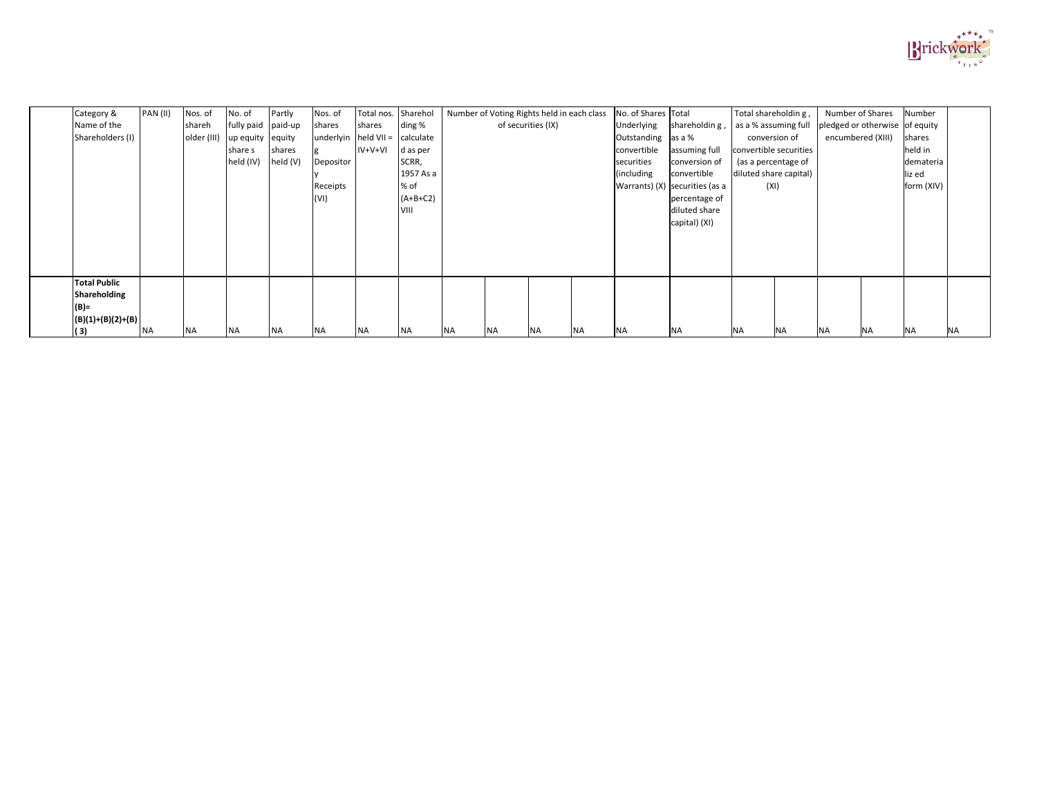| Category &          | PAN (II)  | Nos. of     | No. of             | Partly    | Nos. of   | Total nos. | Sharehol   |      |           | Number of Voting Rights held in each class | No. of Shares Total |                                  | Total shareholdin g,   |           | Number of Shares               |           | Number     |           |
|---------------------|-----------|-------------|--------------------|-----------|-----------|------------|------------|------|-----------|--------------------------------------------|---------------------|----------------------------------|------------------------|-----------|--------------------------------|-----------|------------|-----------|
| Name of the         |           | shareh      | fully paid paid-up |           | shares    | shares     | ding %     |      |           | of securities (IX)                         | Underlying          | shareholdin g,                   | as a % assuming full   |           | pledged or otherwise of equity |           |            |           |
| Shareholders (I)    |           | older (III) | up equity          | equity    | underlyin | held VII = | calculate  |      |           |                                            | Outstanding         | as a %                           | conversion of          |           | encumbered (XIII)              |           | shares     |           |
|                     |           |             | share s            | shares    |           | $IV+V+VI$  | d as per   |      |           |                                            | convertible         | assuming full                    | convertible securities |           |                                |           | held in    |           |
|                     |           |             | held (IV)          | held (V)  | Depositor |            | SCRR,      |      |           |                                            | securities          | conversion of                    | (as a percentage of    |           |                                |           | demateria  |           |
|                     |           |             |                    |           |           |            | 1957 As a  |      |           |                                            | (including          | convertible                      | diluted share capital) |           |                                |           | liz ed     |           |
|                     |           |             |                    |           | Receipts  |            | % of       |      |           |                                            |                     | Warrants) $(X)$ securities (as a | (XI)                   |           |                                |           | form (XIV) |           |
|                     |           |             |                    |           | (VI)      |            | $(A+B+C2)$ |      |           |                                            |                     | percentage of                    |                        |           |                                |           |            |           |
|                     |           |             |                    |           |           |            | VIII       |      |           |                                            |                     | diluted share                    |                        |           |                                |           |            |           |
|                     |           |             |                    |           |           |            |            |      |           |                                            |                     | capital) (XI)                    |                        |           |                                |           |            |           |
|                     |           |             |                    |           |           |            |            |      |           |                                            |                     |                                  |                        |           |                                |           |            |           |
|                     |           |             |                    |           |           |            |            |      |           |                                            |                     |                                  |                        |           |                                |           |            |           |
|                     |           |             |                    |           |           |            |            |      |           |                                            |                     |                                  |                        |           |                                |           |            |           |
|                     |           |             |                    |           |           |            |            |      |           |                                            |                     |                                  |                        |           |                                |           |            |           |
| <b>Total Public</b> |           |             |                    |           |           |            |            |      |           |                                            |                     |                                  |                        |           |                                |           |            |           |
| <b>Shareholding</b> |           |             |                    |           |           |            |            |      |           |                                            |                     |                                  |                        |           |                                |           |            |           |
| $(B)$ =             |           |             |                    |           |           |            |            |      |           |                                            |                     |                                  |                        |           |                                |           |            |           |
| $(B)(1)+(B)(2)+(B)$ |           |             |                    |           |           |            |            |      |           |                                            |                     |                                  |                        |           |                                |           |            |           |
| (3)                 | <b>NA</b> | <b>NA</b>   | <b>NA</b>          | <b>NA</b> | INA.      | <b>NA</b>  | <b>NA</b>  | INA. | <b>NA</b> | <b>NA</b><br><b>NA</b>                     | <b>NA</b>           | <b>NA</b>                        | ΝA                     | <b>NA</b> | <b>NA</b>                      | <b>NA</b> | <b>NA</b>  | <b>NA</b> |